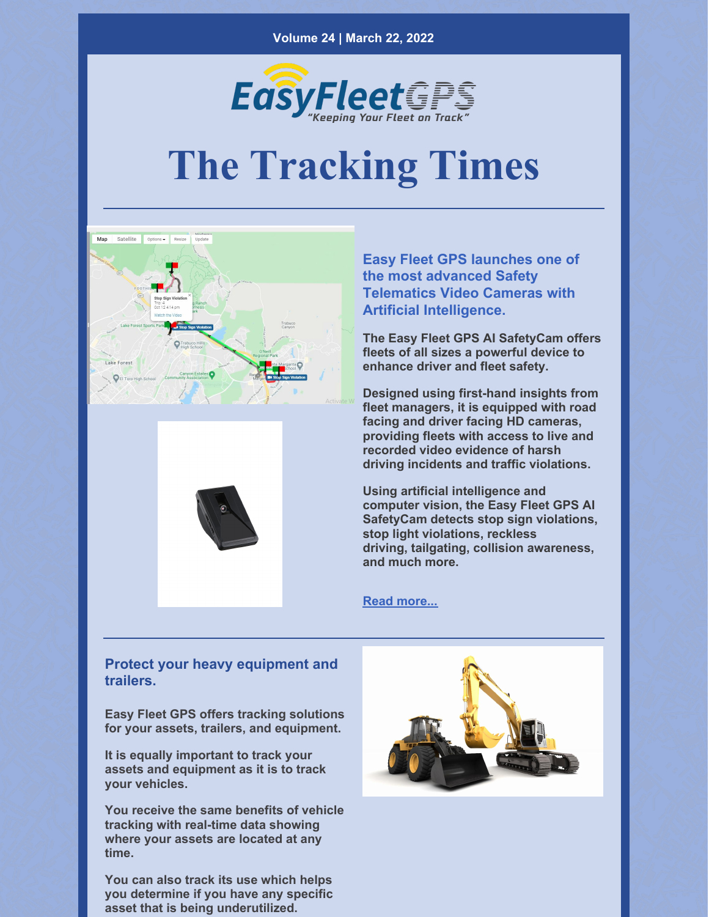#### **Volume 24 | March 22, 2022**



# **The Tracking Times**





**Easy Fleet GPS launches one of the most advanced Safety Telematics Video Cameras with Artificial Intelligence.**

**The Easy Fleet GPS AI SafetyCam offers fleets of all sizes a powerful device to enhance driver and fleet safety.**

**Designed using first-hand insights from fleet managers, it is equipped with road facing and driver facing HD cameras, providing fleets with access to live and recorded video evidence of harsh driving incidents and traffic violations.**

**Using artificial intelligence and computer vision, the Easy Fleet GPS AI SafetyCam detects stop sign violations, stop light violations, reckless driving, tailgating, collision awareness, and much more.**

**Read [more...](https://easyfleetgps.com/safety-cam/)**

**Protect your heavy equipment and trailers.**

**Easy Fleet GPS offers tracking solutions for your assets, trailers, and equipment.**

**It is equally important to track your assets and equipment as it is to track your vehicles.**

**You receive the same benefits of vehicle tracking with real-time data showing where your assets are located at any time.**

**You can also track its use which helps you determine if you have any specific asset that is being underutilized.**

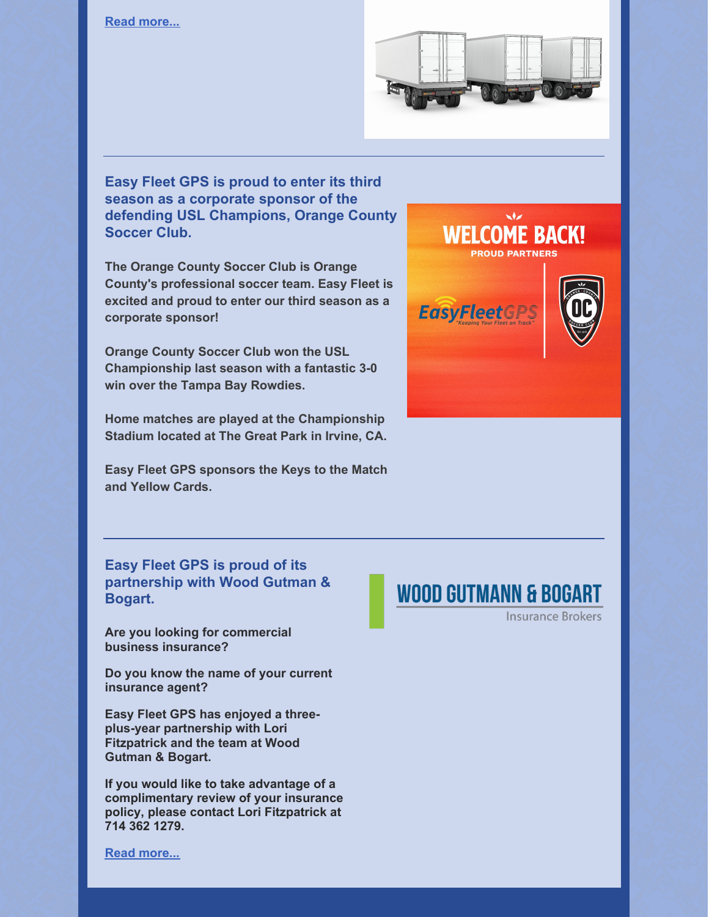**Read [more...](https://easyfleetgps.com/asset-management-solution/)**



**Easy Fleet GPS is proud to enter its third season as a corporate sponsor of the defending USL Champions, Orange County Soccer Club.**

**The Orange County Soccer Club is Orange County's professional soccer team. Easy Fleet is excited and proud to enter our third season as a corporate sponsor!**

**Orange County Soccer Club won the USL Championship last season with a fantastic 3-0 win over the Tampa Bay Rowdies.**

**Home matches are played at the Championship Stadium located at The Great Park in Irvine, CA.**

**Easy Fleet GPS sponsors the Keys to the Match and Yellow Cards.**



**Easy Fleet GPS is proud of its partnership with Wood Gutman & Bogart.**

**Are you looking for commercial business insurance?**

**Do you know the name of your current insurance agent?**

**Easy Fleet GPS has enjoyed a threeplus-year partnership with Lori Fitzpatrick and the team at Wood Gutman & Bogart.**

**If you would like to take advantage of a complimentary review of your insurance policy, please contact Lori Fitzpatrick at 714 362 1279.**

### **WOOD GUTMANN & BOGART**

**Insurance Brokers** 

**Read [more...](https://easyfleetgps.com/partners/)**